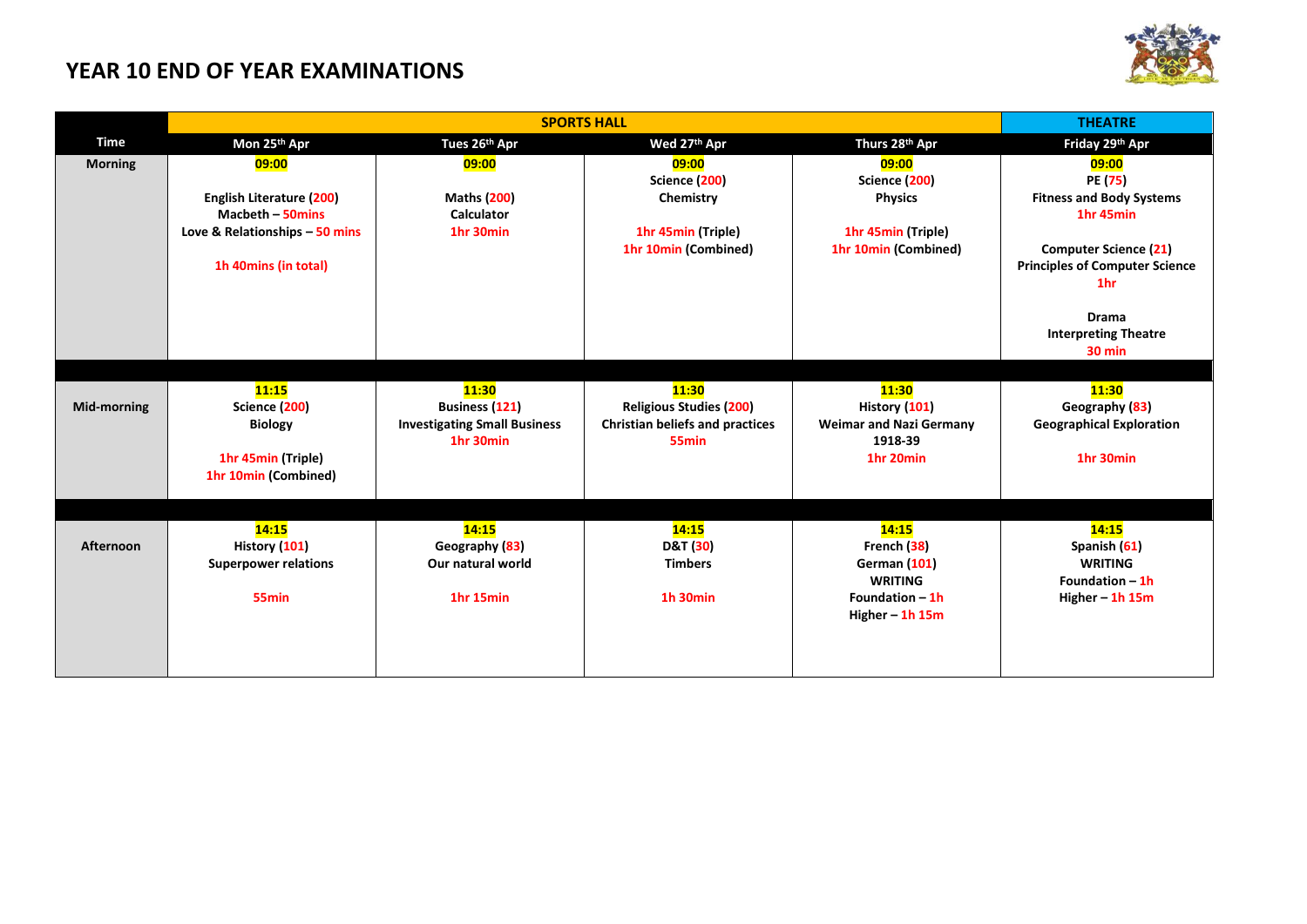## **YEAR 10 END OF YEAR EXAMINATIONS**



|                |                                                     | <b>THEATRE</b>                                   |                                                             |                                            |                                                          |
|----------------|-----------------------------------------------------|--------------------------------------------------|-------------------------------------------------------------|--------------------------------------------|----------------------------------------------------------|
| Time           | Mon 25th Apr                                        | Tues 26th Apr                                    | Wed 27th Apr                                                | Thurs 28th Apr                             | Friday 29th Apr                                          |
| <b>Morning</b> | 09:00                                               | 09:00                                            | 09:00<br>Science (200)                                      | 09:00<br>Science (200)                     | 09:00<br>PE (75)                                         |
|                | <b>English Literature (200)</b><br>Macbeth - 50mins | <b>Maths (200)</b><br><b>Calculator</b>          | Chemistry                                                   | <b>Physics</b>                             | <b>Fitness and Body Systems</b><br>1hr 45min             |
|                | Love & Relationships - 50 mins                      | 1hr 30min                                        | 1hr 45min (Triple)<br>1hr 10min (Combined)                  | 1hr 45min (Triple)<br>1hr 10min (Combined) | <b>Computer Science (21)</b>                             |
|                | 1h 40mins (in total)                                |                                                  |                                                             |                                            | <b>Principles of Computer Science</b><br>1 <sub>hr</sub> |
|                |                                                     |                                                  |                                                             |                                            | <b>Drama</b><br><b>Interpreting Theatre</b>              |
|                |                                                     |                                                  |                                                             |                                            | 30 min                                                   |
|                |                                                     |                                                  |                                                             |                                            |                                                          |
| Mid-morning    | 11:15<br>Science (200)                              | 11:30<br><b>Business (121)</b>                   | 11:30<br><b>Religious Studies (200)</b>                     | 11:30<br>History (101)                     | 11:30<br>Geography (83)                                  |
|                | <b>Biology</b>                                      | <b>Investigating Small Business</b><br>1hr 30min | <b>Christian beliefs and practices</b><br>55 <sub>min</sub> | <b>Weimar and Nazi Germany</b><br>1918-39  | <b>Geographical Exploration</b>                          |
|                | 1hr 45min (Triple)<br>1hr 10min (Combined)          |                                                  |                                                             | 1hr 20min                                  | 1hr 30min                                                |
|                |                                                     |                                                  |                                                             |                                            |                                                          |
|                | 14:15                                               | 14:15                                            | 14:15                                                       | 14:15                                      | 14:15                                                    |
| Afternoon      | History (101)                                       | Geography (83)                                   | D&T (30)                                                    | French (38)                                | Spanish (61)                                             |
|                | <b>Superpower relations</b>                         | Our natural world                                | <b>Timbers</b>                                              | <b>German (101)</b><br><b>WRITING</b>      | <b>WRITING</b><br>Foundation $-1h$                       |
|                | 55 <sub>min</sub>                                   | 1hr 15min                                        | 1h 30min                                                    | Foundation $-1h$<br>Higher $-$ 1h 15m      | Higher $-$ 1h 15m                                        |
|                |                                                     |                                                  |                                                             |                                            |                                                          |